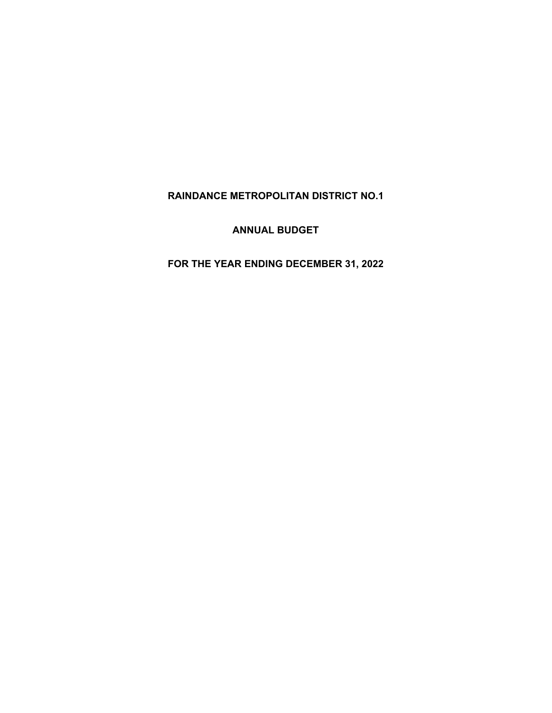# **RAINDANCE METROPOLITAN DISTRICT NO.1**

**ANNUAL BUDGET** 

**FOR THE YEAR ENDING DECEMBER 31, 2022**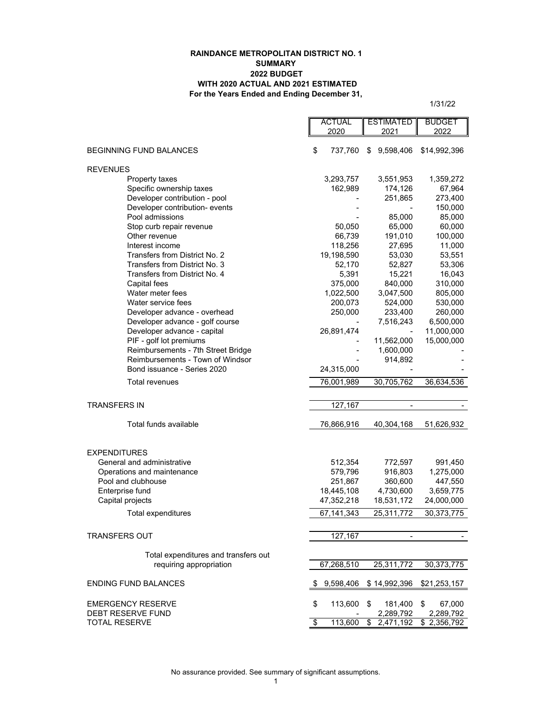#### **RAINDANCE METROPOLITAN DISTRICT NO. 1 SUMMARY 2022 BUDGET WITH 2020 ACTUAL AND 2021 ESTIMATED For the Years Ended and Ending December 31,**

 $\blacksquare$ 

1/31/22

|                                      |    | <b>ACTUAL</b><br>2020 | <b>ESTIMATED</b><br>2021 | <b>BUDGET</b><br>2022    |
|--------------------------------------|----|-----------------------|--------------------------|--------------------------|
|                                      | \$ |                       |                          |                          |
| <b>BEGINNING FUND BALANCES</b>       |    | 737,760               | 9,598,406<br>\$          | \$14,992,396             |
| <b>REVENUES</b>                      |    |                       |                          |                          |
| Property taxes                       |    | 3,293,757             | 3,551,953                | 1,359,272                |
| Specific ownership taxes             |    | 162,989               | 174,126                  | 67,964                   |
| Developer contribution - pool        |    |                       | 251,865                  | 273,400                  |
| Developer contribution- events       |    |                       |                          | 150,000                  |
| Pool admissions                      |    |                       | 85,000                   | 85,000                   |
| Stop curb repair revenue             |    | 50,050                | 65,000                   | 60,000                   |
| Other revenue                        |    | 66,739                | 191,010                  | 100,000                  |
| Interest income                      |    | 118,256               | 27,695                   | 11,000                   |
| Transfers from District No. 2        |    | 19,198,590            | 53,030                   | 53,551                   |
| Transfers from District No. 3        |    | 52,170                | 52,827                   | 53,306                   |
| Transfers from District No. 4        |    | 5,391                 | 15,221                   | 16,043                   |
| Capital fees                         |    | 375,000               | 840,000                  | 310,000                  |
| Water meter fees                     |    | 1,022,500             | 3,047,500                | 805,000                  |
| Water service fees                   |    | 200,073               | 524,000                  | 530,000                  |
| Developer advance - overhead         |    | 250,000               | 233,400                  | 260,000                  |
| Developer advance - golf course      |    |                       | 7,516,243                | 6,500,000                |
| Developer advance - capital          |    | 26,891,474            |                          |                          |
| PIF - golf lot premiums              |    |                       | 11,562,000               | 11,000,000<br>15,000,000 |
| Reimbursements - 7th Street Bridge   |    |                       | 1,600,000                |                          |
| Reimbursements - Town of Windsor     |    |                       |                          |                          |
| Bond issuance - Series 2020          |    |                       | 914,892                  |                          |
|                                      |    | 24,315,000            |                          |                          |
| Total revenues                       |    | 76,001,989            | 30,705,762               | 36,634,536               |
|                                      |    |                       |                          |                          |
| TRANSFERS IN                         |    | 127,167               |                          |                          |
| Total funds available                |    | 76,866,916            | 40,304,168               | 51,626,932               |
|                                      |    |                       |                          |                          |
| <b>EXPENDITURES</b>                  |    |                       |                          |                          |
| General and administrative           |    | 512,354               | 772,597                  | 991,450                  |
| Operations and maintenance           |    | 579,796               | 916,803                  | 1,275,000                |
| Pool and clubhouse                   |    | 251,867<br>18,445,108 | 360,600                  | 447,550                  |
| Enterprise fund                      |    |                       | 4,730,600                | 3,659,775                |
| Capital projects                     |    | 47,352,218            | 18,531,172               | 24,000,000               |
| Total expenditures                   |    | 67.141.343            | 25,311,772               | 30,373,775               |
| <b>TRANSFERS OUT</b>                 |    |                       |                          |                          |
|                                      |    | 127,167               |                          |                          |
| Total expenditures and transfers out |    |                       |                          |                          |
| requiring appropriation              |    | 67,268,510            | 25,311,772               | 30, 373, 775             |
| <b>ENDING FUND BALANCES</b>          | S  | 9,598,406             | \$14,992,396             | \$21,253,157             |
|                                      |    |                       |                          |                          |
| <b>EMERGENCY RESERVE</b>             | \$ | 113,600               | 181,400<br>\$            | \$<br>67,000             |
| DEBT RESERVE FUND                    |    |                       | 2,289,792                | 2,289,792                |
| <b>TOTAL RESERVE</b>                 | \$ | 113,600               | \$<br>2,471,192          | \$2,356,792              |
|                                      |    |                       |                          |                          |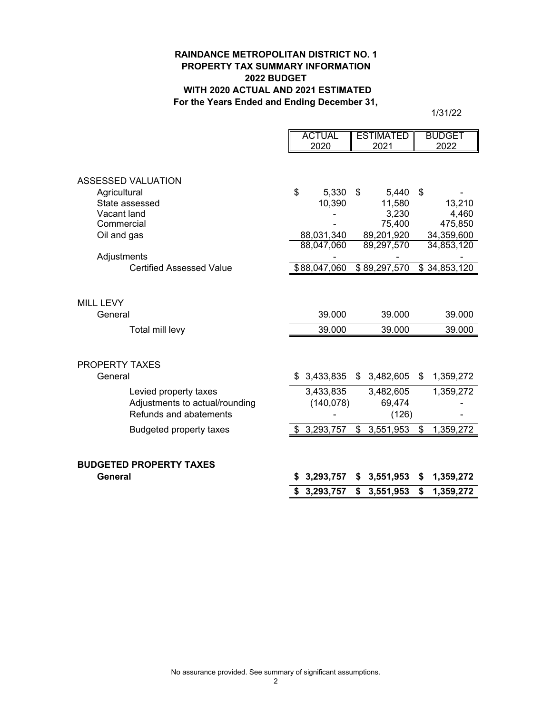## **RAINDANCE METROPOLITAN DISTRICT NO. 1 PROPERTY TAX SUMMARY INFORMATION 2022 BUDGET WITH 2020 ACTUAL AND 2021 ESTIMATED For the Years Ended and Ending December 31,**

1/31/22

|                                 | <b>ACTUAL</b>   |    | <b>ESTIMATED</b> | <b>BUDGET</b>   |
|---------------------------------|-----------------|----|------------------|-----------------|
|                                 | 2020            |    | 2021             | 2022            |
| ASSESSED VALUATION              |                 |    |                  |                 |
| Agricultural                    | \$<br>5,330     | \$ | 5,440            | \$              |
| State assessed                  | 10,390          |    | 11,580           | 13,210          |
| Vacant land                     |                 |    | 3,230            | 4,460           |
| Commercial                      |                 |    | 75,400           | 475,850         |
| Oil and gas                     | 88,031,340      |    | 89,201,920       | 34,359,600      |
|                                 | 88,047,060      |    | 89,297,570       | 34,853,120      |
| Adjustments                     |                 |    |                  |                 |
| <b>Certified Assessed Value</b> | \$88,047,060    |    | \$89,297,570     | \$34,853,120    |
| <b>MILL LEVY</b><br>General     | 39.000          |    | 39.000           | 39.000          |
| Total mill levy                 | 39.000          |    | 39.000           | 39.000          |
|                                 |                 |    |                  |                 |
| <b>PROPERTY TAXES</b>           |                 |    |                  |                 |
| General                         | \$<br>3,433,835 | \$ | 3,482,605        | \$<br>1,359,272 |
| Levied property taxes           | 3,433,835       |    | 3,482,605        | 1,359,272       |
| Adjustments to actual/rounding  | (140, 078)      |    | 69,474           |                 |
| Refunds and abatements          |                 |    | (126)            |                 |
| <b>Budgeted property taxes</b>  | \$3,293,757     | \$ | 3,551,953        | \$<br>1,359,272 |
| <b>BUDGETED PROPERTY TAXES</b>  |                 |    |                  |                 |
| General                         | 3,293,757       | S  | 3,551,953        | \$<br>1,359,272 |
|                                 | \$3,293,757     | \$ | 3,551,953        | \$<br>1,359,272 |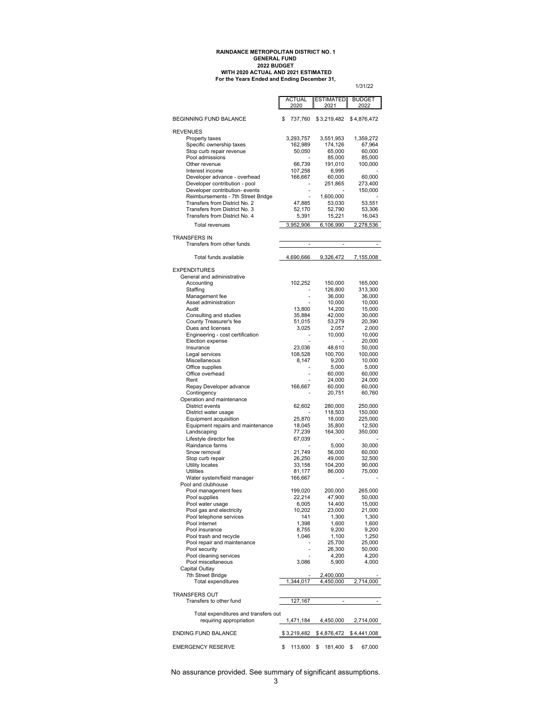# **For the Years Ended and Ending December 31, RAINDANCE METROPOLITAN DISTRICT NO. 1 GENERAL FUND 2022 BUDGET WITH 2020 ACTUAL AND 2021 ESTIMATED**

1/31/22

|                                                                 | <b>ACTUAL</b><br>2020 | <b>ESTIMATED</b><br>2021            | <b>BUDGET</b><br>2022 |
|-----------------------------------------------------------------|-----------------------|-------------------------------------|-----------------------|
| <b>BEGINNING FUND BALANCE</b>                                   | \$<br>737,760         | \$3,219,482                         | \$4,876,472           |
| <b>REVENUES</b>                                                 |                       |                                     |                       |
| Property taxes                                                  | 3,293,757             | 3,551,953                           | 1,359,272             |
| Specific ownership taxes                                        | 162,989               | 174,126                             | 67,964                |
| Stop curb repair revenue                                        | 50,050                | 65,000                              | 60,000                |
| Pool admissions                                                 |                       | 85,000                              | 85,000                |
| Other revenue                                                   | 66,739                | 191,010                             | 100,000               |
| Interest income                                                 | 107,258               | 6,995                               |                       |
| Developer advance - overhead                                    | 166,667               | 60,000                              | 60,000                |
| Developer contribution - pool                                   |                       | 251,865                             | 273,400               |
| Developer contribution- events                                  |                       | ÷                                   | 150,000               |
| Reimbursements - 7th Street Bridge                              |                       | 1,600,000                           |                       |
| Transfers from District No. 2                                   | 47,885                | 53,030                              | 53,551                |
| Transfers from District No. 3                                   | 52,170                | 52,790                              | 53,306                |
| Transfers from District No. 4                                   | 5,391                 | 15,221                              | 16,043                |
| Total revenues                                                  | 3,952,906             | 6,106,990                           | 2,278,536             |
| <b>TRANSFERS IN</b><br>Transfers from other funds               |                       | ÷<br>$\overline{\phantom{a}}$       | ٠                     |
|                                                                 |                       |                                     |                       |
| Total funds available<br><b>EXPENDITURES</b>                    | 4,690,666             | 9,326,472                           | 7,155,008             |
|                                                                 |                       |                                     |                       |
| General and administrative                                      | 102,252               | 150,000                             | 165,000               |
| Accounting<br>Staffing                                          |                       | 126,800<br>$\overline{\phantom{a}}$ | 313,300               |
| Management fee                                                  |                       | 36,000                              | 36,000                |
| Asset administration                                            |                       | 10,000                              | 10,000                |
| Audit                                                           | 13,800                | 14,200                              | 15,000                |
| Consulting and studies                                          | 35,884                | 42,000                              | 30,000                |
| County Treasurer's fee                                          | 51,015                | 53,279                              | 20,390                |
| Dues and licenses                                               | 3,025                 | 2,057                               | 2,000                 |
| Engineering - cost certification                                |                       | 10,000                              | 10,000                |
| Election expense                                                |                       | ÷,                                  | 20,000                |
| Insurance                                                       | 23,036                | 48,610                              | 50,000                |
| Legal services                                                  | 108,528               | 100,700                             | 100,000               |
| Miscellaneous                                                   | 8,147                 | 9,200                               | 10,000                |
| Office supplies                                                 |                       | 5,000                               | 5,000                 |
| Office overhead                                                 |                       | ÷,<br>60,000                        | 60,000                |
| Rent                                                            |                       | 24,000                              | 24,000                |
| Repay Developer advance                                         | 166,667               | 60,000                              | 60,000                |
| Contingency<br>Operation and maintenance                        |                       | 20,751                              | 60,760                |
| District events                                                 | 62,602                | 280,000                             | 250,000               |
| District water usage                                            |                       | 118,503                             | 150,000               |
| Equipment acquisition                                           | 25,870                | 18,000                              | 225,000               |
| Equipment repairs and maintenance                               | 18,045                | 35,800                              | 12,500                |
| Landscaping                                                     | 77,239                | 164,300                             | 350,000               |
| Lifestyle director fee                                          | 67,039                |                                     |                       |
| Raindance farms                                                 |                       | 5,000                               | 30,000                |
| Snow removal                                                    | 21,749                | 56,000                              | 60,000                |
| Stop curb repair                                                | 26,250                | 49,000                              | 32,500                |
| Utility locates                                                 | 33,158                | 104,200                             | 90,000                |
| Utilities                                                       | 81,177                | 86,000                              | 75,000                |
| Water system/field manager                                      | 166,667               |                                     |                       |
| Pool and clubhouse                                              |                       |                                     |                       |
| Pool management fees                                            | 199,020               | 200,000                             | 265,000               |
| Pool supplies                                                   | 22,214                | 47,900                              | 50,000                |
| Pool water usage                                                | 6,005                 | 14,400                              | 15,000                |
| Pool gas and electricity                                        | 10,202                | 23,000                              | 21,000                |
| Pool telephone services                                         | 141                   | 1,300                               | 1,300                 |
| Pool internet                                                   | 1,398                 | 1,600                               | 1,600                 |
| Pool insurance                                                  | 8,755                 | 9,200                               | 9,200                 |
| Pool trash and recycle                                          | 1,046                 | 1,100                               | 1,250                 |
| Pool repair and maintenance<br>Pool security                    |                       | 25,700<br>26,300                    | 25,000<br>50,000      |
| Pool cleaning services                                          |                       | 4,200                               | 4,200                 |
| Pool miscellaneous                                              | 3,086                 | 5,900                               | 4,000                 |
| Capital Outlay                                                  |                       |                                     |                       |
| 7th Street Bridge                                               |                       | 2,400,000                           |                       |
| Total expenditures                                              | 1,344,017             | 4,450,000                           | 2.714.000             |
|                                                                 |                       |                                     |                       |
| <b>TRANSFERS OUT</b>                                            |                       |                                     |                       |
| Transfers to other fund                                         | 127,167               | ä,                                  |                       |
|                                                                 |                       |                                     |                       |
| Total expenditures and transfers out<br>requiring appropriation | 1,471,184             | 4,450,000                           | 2,714,000             |
|                                                                 |                       |                                     |                       |
| <b>ENDING FUND BALANCE</b>                                      | \$3,219,482           | \$4,876,472                         | \$4,441,008           |
| <b>EMERGENCY RESERVE</b>                                        | \$<br>113,600         | \$<br>181,400                       | 67,000<br>\$          |

No assurance provided. See summary of significant assumptions.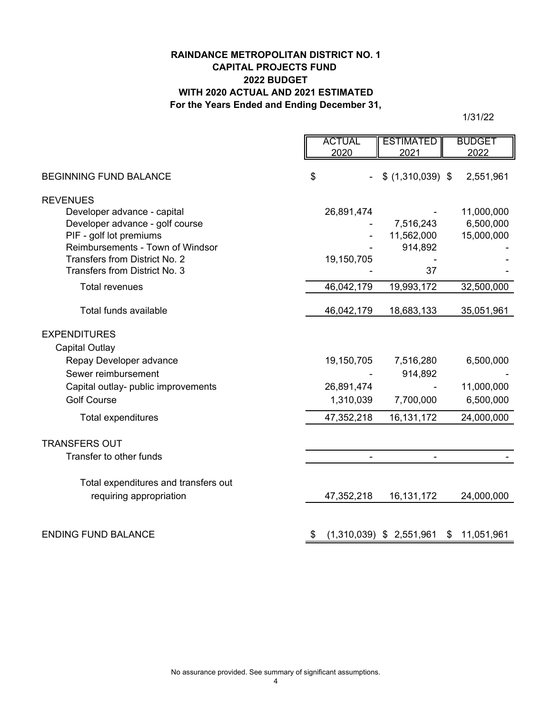## **RAINDANCE METROPOLITAN DISTRICT NO. 1 CAPITAL PROJECTS FUND 2022 BUDGET WITH 2020 ACTUAL AND 2021 ESTIMATED For the Years Ended and Ending December 31,**

1/31/22

|                                      | <b>ACTUAL</b> | <b>ESTIMATED</b>           | <b>BUDGET</b> |            |
|--------------------------------------|---------------|----------------------------|---------------|------------|
|                                      | 2020          | 2021                       | 2022          |            |
| <b>BEGINNING FUND BALANCE</b>        | \$            | $$$ (1,310,039) \$         |               | 2,551,961  |
| <b>REVENUES</b>                      |               |                            |               |            |
| Developer advance - capital          | 26,891,474    |                            |               | 11,000,000 |
| Developer advance - golf course      |               | 7,516,243                  |               | 6,500,000  |
| PIF - golf lot premiums              |               | 11,562,000                 |               | 15,000,000 |
| Reimbursements - Town of Windsor     |               | 914,892                    |               |            |
| Transfers from District No. 2        | 19,150,705    |                            |               |            |
| Transfers from District No. 3        |               | 37                         |               |            |
| <b>Total revenues</b>                | 46,042,179    | 19,993,172                 |               | 32,500,000 |
| Total funds available                | 46,042,179    | 18,683,133                 |               | 35,051,961 |
| <b>EXPENDITURES</b>                  |               |                            |               |            |
| <b>Capital Outlay</b>                |               |                            |               |            |
| Repay Developer advance              | 19,150,705    | 7,516,280                  |               | 6,500,000  |
| Sewer reimbursement                  |               | 914,892                    |               |            |
| Capital outlay- public improvements  | 26,891,474    |                            |               | 11,000,000 |
| <b>Golf Course</b>                   | 1,310,039     | 7,700,000                  |               | 6,500,000  |
|                                      |               |                            |               |            |
| Total expenditures                   | 47,352,218    | 16, 131, 172               |               | 24,000,000 |
| <b>TRANSFERS OUT</b>                 |               |                            |               |            |
| Transfer to other funds              |               |                            |               |            |
| Total expenditures and transfers out |               |                            |               |            |
| requiring appropriation              | 47,352,218    | 16, 131, 172               |               | 24,000,000 |
|                                      |               |                            |               |            |
| <b>ENDING FUND BALANCE</b>           | \$            | $(1,310,039)$ \$ 2,551,961 | \$            | 11,051,961 |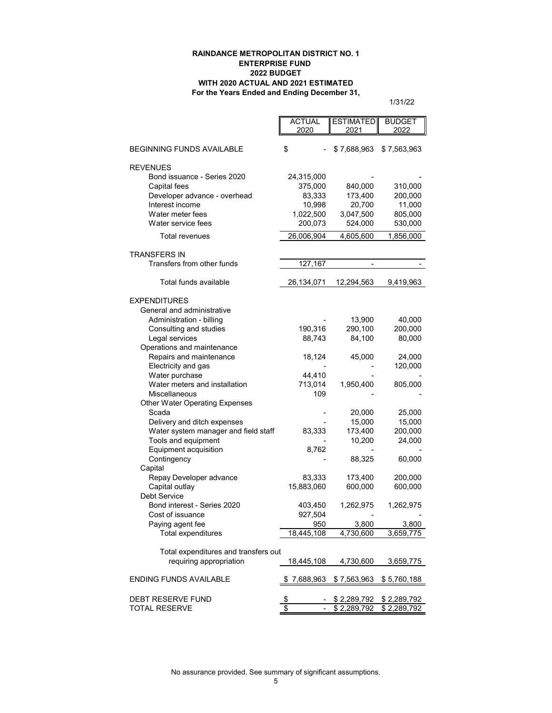#### **RAINDANCE METROPOLITAN DISTRICT NO. 1 ENTERPRISE FUND 2022 BUDGET WITH 2020 ACTUAL AND 2021 ESTIMATED For the Years Ended and Ending December 31,**

1/31/22

| 2020<br>2021<br>2022<br>\$<br><b>BEGINNING FUNDS AVAILABLE</b><br>\$7,688,963<br>\$7,563,963<br><b>REVENUES</b><br>Bond issuance - Series 2020<br>24,315,000<br>310,000<br>Capital fees<br>375,000<br>840,000<br>Developer advance - overhead<br>83,333<br>173,400<br>200,000<br>Interest income<br>10,998<br>20,700<br>11,000<br>Water meter fees<br>1,022,500<br>3,047,500<br>805,000<br>Water service fees<br>200,073<br>524,000<br>530,000<br>Total revenues<br>26,006,904<br>4,605,600<br>1,856,000<br><b>TRANSFERS IN</b><br>Transfers from other funds<br>127,167<br>$\overline{\phantom{a}}$<br>Total funds available<br>26,134,071<br>12,294,563<br>9,419,963<br><b>EXPENDITURES</b><br>General and administrative<br>Administration - billing<br>13,900<br>40,000<br>190,316<br>290,100<br>Consulting and studies<br>200,000<br>Legal services<br>88,743<br>84,100<br>80,000<br>Operations and maintenance<br>Repairs and maintenance<br>18,124<br>45,000<br>24,000<br>Electricity and gas<br>120,000<br>Water purchase<br>44,410<br>Water meters and installation<br>713,014<br>1,950,400<br>805,000<br>Miscellaneous<br>109<br><b>Other Water Operating Expenses</b><br>Scada<br>25,000<br>20,000<br>Delivery and ditch expenses<br>15,000<br>15,000<br>Water system manager and field staff<br>83,333<br>173,400<br>200,000<br>Tools and equipment<br>10,200<br>24,000<br>Equipment acquisition<br>8,762<br>88,325<br>60,000<br>Contingency<br>Capital<br>Repay Developer advance<br>83,333<br>173,400<br>200,000<br>Capital outlay<br>15,883,060<br>600,000<br>600,000<br><b>Debt Service</b><br>Bond interest - Series 2020<br>403,450<br>1,262,975<br>1,262,975<br>Cost of issuance<br>927,504<br>Paying agent fee<br>950<br>3,800<br>3,800<br>Total expenditures<br>18,445,108<br>4,730,600<br>3,659,775<br>Total expenditures and transfers out<br>requiring appropriation<br>18,445,108<br>4,730,600<br>3,659,775<br><b>ENDING FUNDS AVAILABLE</b><br>7,688,963<br>\$7,563,963<br>\$5,760,188<br><b>DEBT RESERVE FUND</b><br>\$2,289,792<br>\$2,289,792<br>\$<br>\$<br><b>TOTAL RESERVE</b><br>\$2,289,792<br>\$2,289,792 | <b>ACTUAL</b> |                  |               |
|----------------------------------------------------------------------------------------------------------------------------------------------------------------------------------------------------------------------------------------------------------------------------------------------------------------------------------------------------------------------------------------------------------------------------------------------------------------------------------------------------------------------------------------------------------------------------------------------------------------------------------------------------------------------------------------------------------------------------------------------------------------------------------------------------------------------------------------------------------------------------------------------------------------------------------------------------------------------------------------------------------------------------------------------------------------------------------------------------------------------------------------------------------------------------------------------------------------------------------------------------------------------------------------------------------------------------------------------------------------------------------------------------------------------------------------------------------------------------------------------------------------------------------------------------------------------------------------------------------------------------------------------------------------------------------------------------------------------------------------------------------------------------------------------------------------------------------------------------------------------------------------------------------------------------------------------------------------------------------------------------------------------------------------------------------------------------------------------------------------------------------------------|---------------|------------------|---------------|
|                                                                                                                                                                                                                                                                                                                                                                                                                                                                                                                                                                                                                                                                                                                                                                                                                                                                                                                                                                                                                                                                                                                                                                                                                                                                                                                                                                                                                                                                                                                                                                                                                                                                                                                                                                                                                                                                                                                                                                                                                                                                                                                                              |               | <b>ESTIMATED</b> | <b>BUDGET</b> |
|                                                                                                                                                                                                                                                                                                                                                                                                                                                                                                                                                                                                                                                                                                                                                                                                                                                                                                                                                                                                                                                                                                                                                                                                                                                                                                                                                                                                                                                                                                                                                                                                                                                                                                                                                                                                                                                                                                                                                                                                                                                                                                                                              |               |                  |               |
|                                                                                                                                                                                                                                                                                                                                                                                                                                                                                                                                                                                                                                                                                                                                                                                                                                                                                                                                                                                                                                                                                                                                                                                                                                                                                                                                                                                                                                                                                                                                                                                                                                                                                                                                                                                                                                                                                                                                                                                                                                                                                                                                              |               |                  |               |
|                                                                                                                                                                                                                                                                                                                                                                                                                                                                                                                                                                                                                                                                                                                                                                                                                                                                                                                                                                                                                                                                                                                                                                                                                                                                                                                                                                                                                                                                                                                                                                                                                                                                                                                                                                                                                                                                                                                                                                                                                                                                                                                                              |               |                  |               |
|                                                                                                                                                                                                                                                                                                                                                                                                                                                                                                                                                                                                                                                                                                                                                                                                                                                                                                                                                                                                                                                                                                                                                                                                                                                                                                                                                                                                                                                                                                                                                                                                                                                                                                                                                                                                                                                                                                                                                                                                                                                                                                                                              |               |                  |               |
|                                                                                                                                                                                                                                                                                                                                                                                                                                                                                                                                                                                                                                                                                                                                                                                                                                                                                                                                                                                                                                                                                                                                                                                                                                                                                                                                                                                                                                                                                                                                                                                                                                                                                                                                                                                                                                                                                                                                                                                                                                                                                                                                              |               |                  |               |
|                                                                                                                                                                                                                                                                                                                                                                                                                                                                                                                                                                                                                                                                                                                                                                                                                                                                                                                                                                                                                                                                                                                                                                                                                                                                                                                                                                                                                                                                                                                                                                                                                                                                                                                                                                                                                                                                                                                                                                                                                                                                                                                                              |               |                  |               |
|                                                                                                                                                                                                                                                                                                                                                                                                                                                                                                                                                                                                                                                                                                                                                                                                                                                                                                                                                                                                                                                                                                                                                                                                                                                                                                                                                                                                                                                                                                                                                                                                                                                                                                                                                                                                                                                                                                                                                                                                                                                                                                                                              |               |                  |               |
|                                                                                                                                                                                                                                                                                                                                                                                                                                                                                                                                                                                                                                                                                                                                                                                                                                                                                                                                                                                                                                                                                                                                                                                                                                                                                                                                                                                                                                                                                                                                                                                                                                                                                                                                                                                                                                                                                                                                                                                                                                                                                                                                              |               |                  |               |
|                                                                                                                                                                                                                                                                                                                                                                                                                                                                                                                                                                                                                                                                                                                                                                                                                                                                                                                                                                                                                                                                                                                                                                                                                                                                                                                                                                                                                                                                                                                                                                                                                                                                                                                                                                                                                                                                                                                                                                                                                                                                                                                                              |               |                  |               |
|                                                                                                                                                                                                                                                                                                                                                                                                                                                                                                                                                                                                                                                                                                                                                                                                                                                                                                                                                                                                                                                                                                                                                                                                                                                                                                                                                                                                                                                                                                                                                                                                                                                                                                                                                                                                                                                                                                                                                                                                                                                                                                                                              |               |                  |               |
|                                                                                                                                                                                                                                                                                                                                                                                                                                                                                                                                                                                                                                                                                                                                                                                                                                                                                                                                                                                                                                                                                                                                                                                                                                                                                                                                                                                                                                                                                                                                                                                                                                                                                                                                                                                                                                                                                                                                                                                                                                                                                                                                              |               |                  |               |
|                                                                                                                                                                                                                                                                                                                                                                                                                                                                                                                                                                                                                                                                                                                                                                                                                                                                                                                                                                                                                                                                                                                                                                                                                                                                                                                                                                                                                                                                                                                                                                                                                                                                                                                                                                                                                                                                                                                                                                                                                                                                                                                                              |               |                  |               |
|                                                                                                                                                                                                                                                                                                                                                                                                                                                                                                                                                                                                                                                                                                                                                                                                                                                                                                                                                                                                                                                                                                                                                                                                                                                                                                                                                                                                                                                                                                                                                                                                                                                                                                                                                                                                                                                                                                                                                                                                                                                                                                                                              |               |                  |               |
|                                                                                                                                                                                                                                                                                                                                                                                                                                                                                                                                                                                                                                                                                                                                                                                                                                                                                                                                                                                                                                                                                                                                                                                                                                                                                                                                                                                                                                                                                                                                                                                                                                                                                                                                                                                                                                                                                                                                                                                                                                                                                                                                              |               |                  |               |
|                                                                                                                                                                                                                                                                                                                                                                                                                                                                                                                                                                                                                                                                                                                                                                                                                                                                                                                                                                                                                                                                                                                                                                                                                                                                                                                                                                                                                                                                                                                                                                                                                                                                                                                                                                                                                                                                                                                                                                                                                                                                                                                                              |               |                  |               |
|                                                                                                                                                                                                                                                                                                                                                                                                                                                                                                                                                                                                                                                                                                                                                                                                                                                                                                                                                                                                                                                                                                                                                                                                                                                                                                                                                                                                                                                                                                                                                                                                                                                                                                                                                                                                                                                                                                                                                                                                                                                                                                                                              |               |                  |               |
|                                                                                                                                                                                                                                                                                                                                                                                                                                                                                                                                                                                                                                                                                                                                                                                                                                                                                                                                                                                                                                                                                                                                                                                                                                                                                                                                                                                                                                                                                                                                                                                                                                                                                                                                                                                                                                                                                                                                                                                                                                                                                                                                              |               |                  |               |
|                                                                                                                                                                                                                                                                                                                                                                                                                                                                                                                                                                                                                                                                                                                                                                                                                                                                                                                                                                                                                                                                                                                                                                                                                                                                                                                                                                                                                                                                                                                                                                                                                                                                                                                                                                                                                                                                                                                                                                                                                                                                                                                                              |               |                  |               |
|                                                                                                                                                                                                                                                                                                                                                                                                                                                                                                                                                                                                                                                                                                                                                                                                                                                                                                                                                                                                                                                                                                                                                                                                                                                                                                                                                                                                                                                                                                                                                                                                                                                                                                                                                                                                                                                                                                                                                                                                                                                                                                                                              |               |                  |               |
|                                                                                                                                                                                                                                                                                                                                                                                                                                                                                                                                                                                                                                                                                                                                                                                                                                                                                                                                                                                                                                                                                                                                                                                                                                                                                                                                                                                                                                                                                                                                                                                                                                                                                                                                                                                                                                                                                                                                                                                                                                                                                                                                              |               |                  |               |
|                                                                                                                                                                                                                                                                                                                                                                                                                                                                                                                                                                                                                                                                                                                                                                                                                                                                                                                                                                                                                                                                                                                                                                                                                                                                                                                                                                                                                                                                                                                                                                                                                                                                                                                                                                                                                                                                                                                                                                                                                                                                                                                                              |               |                  |               |
|                                                                                                                                                                                                                                                                                                                                                                                                                                                                                                                                                                                                                                                                                                                                                                                                                                                                                                                                                                                                                                                                                                                                                                                                                                                                                                                                                                                                                                                                                                                                                                                                                                                                                                                                                                                                                                                                                                                                                                                                                                                                                                                                              |               |                  |               |
|                                                                                                                                                                                                                                                                                                                                                                                                                                                                                                                                                                                                                                                                                                                                                                                                                                                                                                                                                                                                                                                                                                                                                                                                                                                                                                                                                                                                                                                                                                                                                                                                                                                                                                                                                                                                                                                                                                                                                                                                                                                                                                                                              |               |                  |               |
|                                                                                                                                                                                                                                                                                                                                                                                                                                                                                                                                                                                                                                                                                                                                                                                                                                                                                                                                                                                                                                                                                                                                                                                                                                                                                                                                                                                                                                                                                                                                                                                                                                                                                                                                                                                                                                                                                                                                                                                                                                                                                                                                              |               |                  |               |
|                                                                                                                                                                                                                                                                                                                                                                                                                                                                                                                                                                                                                                                                                                                                                                                                                                                                                                                                                                                                                                                                                                                                                                                                                                                                                                                                                                                                                                                                                                                                                                                                                                                                                                                                                                                                                                                                                                                                                                                                                                                                                                                                              |               |                  |               |
|                                                                                                                                                                                                                                                                                                                                                                                                                                                                                                                                                                                                                                                                                                                                                                                                                                                                                                                                                                                                                                                                                                                                                                                                                                                                                                                                                                                                                                                                                                                                                                                                                                                                                                                                                                                                                                                                                                                                                                                                                                                                                                                                              |               |                  |               |
|                                                                                                                                                                                                                                                                                                                                                                                                                                                                                                                                                                                                                                                                                                                                                                                                                                                                                                                                                                                                                                                                                                                                                                                                                                                                                                                                                                                                                                                                                                                                                                                                                                                                                                                                                                                                                                                                                                                                                                                                                                                                                                                                              |               |                  |               |
|                                                                                                                                                                                                                                                                                                                                                                                                                                                                                                                                                                                                                                                                                                                                                                                                                                                                                                                                                                                                                                                                                                                                                                                                                                                                                                                                                                                                                                                                                                                                                                                                                                                                                                                                                                                                                                                                                                                                                                                                                                                                                                                                              |               |                  |               |
|                                                                                                                                                                                                                                                                                                                                                                                                                                                                                                                                                                                                                                                                                                                                                                                                                                                                                                                                                                                                                                                                                                                                                                                                                                                                                                                                                                                                                                                                                                                                                                                                                                                                                                                                                                                                                                                                                                                                                                                                                                                                                                                                              |               |                  |               |
|                                                                                                                                                                                                                                                                                                                                                                                                                                                                                                                                                                                                                                                                                                                                                                                                                                                                                                                                                                                                                                                                                                                                                                                                                                                                                                                                                                                                                                                                                                                                                                                                                                                                                                                                                                                                                                                                                                                                                                                                                                                                                                                                              |               |                  |               |
|                                                                                                                                                                                                                                                                                                                                                                                                                                                                                                                                                                                                                                                                                                                                                                                                                                                                                                                                                                                                                                                                                                                                                                                                                                                                                                                                                                                                                                                                                                                                                                                                                                                                                                                                                                                                                                                                                                                                                                                                                                                                                                                                              |               |                  |               |
|                                                                                                                                                                                                                                                                                                                                                                                                                                                                                                                                                                                                                                                                                                                                                                                                                                                                                                                                                                                                                                                                                                                                                                                                                                                                                                                                                                                                                                                                                                                                                                                                                                                                                                                                                                                                                                                                                                                                                                                                                                                                                                                                              |               |                  |               |
|                                                                                                                                                                                                                                                                                                                                                                                                                                                                                                                                                                                                                                                                                                                                                                                                                                                                                                                                                                                                                                                                                                                                                                                                                                                                                                                                                                                                                                                                                                                                                                                                                                                                                                                                                                                                                                                                                                                                                                                                                                                                                                                                              |               |                  |               |
|                                                                                                                                                                                                                                                                                                                                                                                                                                                                                                                                                                                                                                                                                                                                                                                                                                                                                                                                                                                                                                                                                                                                                                                                                                                                                                                                                                                                                                                                                                                                                                                                                                                                                                                                                                                                                                                                                                                                                                                                                                                                                                                                              |               |                  |               |
|                                                                                                                                                                                                                                                                                                                                                                                                                                                                                                                                                                                                                                                                                                                                                                                                                                                                                                                                                                                                                                                                                                                                                                                                                                                                                                                                                                                                                                                                                                                                                                                                                                                                                                                                                                                                                                                                                                                                                                                                                                                                                                                                              |               |                  |               |
|                                                                                                                                                                                                                                                                                                                                                                                                                                                                                                                                                                                                                                                                                                                                                                                                                                                                                                                                                                                                                                                                                                                                                                                                                                                                                                                                                                                                                                                                                                                                                                                                                                                                                                                                                                                                                                                                                                                                                                                                                                                                                                                                              |               |                  |               |
|                                                                                                                                                                                                                                                                                                                                                                                                                                                                                                                                                                                                                                                                                                                                                                                                                                                                                                                                                                                                                                                                                                                                                                                                                                                                                                                                                                                                                                                                                                                                                                                                                                                                                                                                                                                                                                                                                                                                                                                                                                                                                                                                              |               |                  |               |
|                                                                                                                                                                                                                                                                                                                                                                                                                                                                                                                                                                                                                                                                                                                                                                                                                                                                                                                                                                                                                                                                                                                                                                                                                                                                                                                                                                                                                                                                                                                                                                                                                                                                                                                                                                                                                                                                                                                                                                                                                                                                                                                                              |               |                  |               |
|                                                                                                                                                                                                                                                                                                                                                                                                                                                                                                                                                                                                                                                                                                                                                                                                                                                                                                                                                                                                                                                                                                                                                                                                                                                                                                                                                                                                                                                                                                                                                                                                                                                                                                                                                                                                                                                                                                                                                                                                                                                                                                                                              |               |                  |               |
|                                                                                                                                                                                                                                                                                                                                                                                                                                                                                                                                                                                                                                                                                                                                                                                                                                                                                                                                                                                                                                                                                                                                                                                                                                                                                                                                                                                                                                                                                                                                                                                                                                                                                                                                                                                                                                                                                                                                                                                                                                                                                                                                              |               |                  |               |
|                                                                                                                                                                                                                                                                                                                                                                                                                                                                                                                                                                                                                                                                                                                                                                                                                                                                                                                                                                                                                                                                                                                                                                                                                                                                                                                                                                                                                                                                                                                                                                                                                                                                                                                                                                                                                                                                                                                                                                                                                                                                                                                                              |               |                  |               |
|                                                                                                                                                                                                                                                                                                                                                                                                                                                                                                                                                                                                                                                                                                                                                                                                                                                                                                                                                                                                                                                                                                                                                                                                                                                                                                                                                                                                                                                                                                                                                                                                                                                                                                                                                                                                                                                                                                                                                                                                                                                                                                                                              |               |                  |               |
|                                                                                                                                                                                                                                                                                                                                                                                                                                                                                                                                                                                                                                                                                                                                                                                                                                                                                                                                                                                                                                                                                                                                                                                                                                                                                                                                                                                                                                                                                                                                                                                                                                                                                                                                                                                                                                                                                                                                                                                                                                                                                                                                              |               |                  |               |
|                                                                                                                                                                                                                                                                                                                                                                                                                                                                                                                                                                                                                                                                                                                                                                                                                                                                                                                                                                                                                                                                                                                                                                                                                                                                                                                                                                                                                                                                                                                                                                                                                                                                                                                                                                                                                                                                                                                                                                                                                                                                                                                                              |               |                  |               |
|                                                                                                                                                                                                                                                                                                                                                                                                                                                                                                                                                                                                                                                                                                                                                                                                                                                                                                                                                                                                                                                                                                                                                                                                                                                                                                                                                                                                                                                                                                                                                                                                                                                                                                                                                                                                                                                                                                                                                                                                                                                                                                                                              |               |                  |               |
|                                                                                                                                                                                                                                                                                                                                                                                                                                                                                                                                                                                                                                                                                                                                                                                                                                                                                                                                                                                                                                                                                                                                                                                                                                                                                                                                                                                                                                                                                                                                                                                                                                                                                                                                                                                                                                                                                                                                                                                                                                                                                                                                              |               |                  |               |

No assurance provided. See summary of significant assumptions.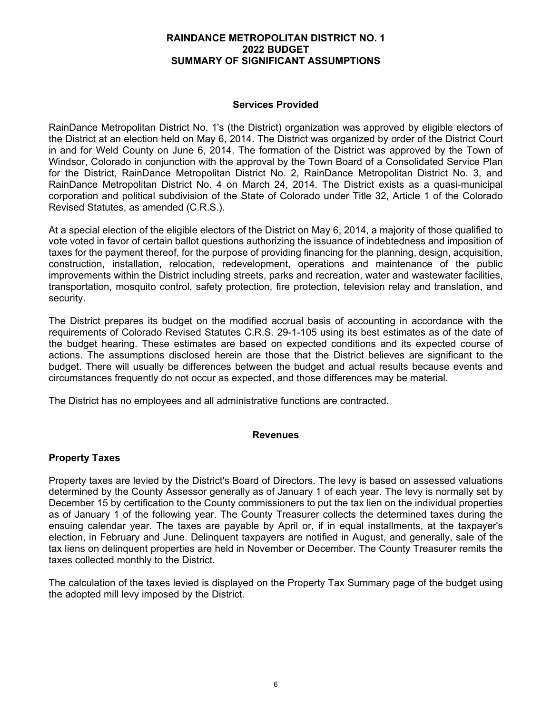## **Services Provided**

RainDance Metropolitan District No. 1's (the District) organization was approved by eligible electors of the District at an election held on May 6, 2014. The District was organized by order of the District Court in and for Weld County on June 6, 2014. The formation of the District was approved by the Town of Windsor, Colorado in conjunction with the approval by the Town Board of a Consolidated Service Plan for the District, RainDance Metropolitan District No. 2, RainDance Metropolitan District No. 3, and RainDance Metropolitan District No. 4 on March 24, 2014. The District exists as a quasi-municipal corporation and political subdivision of the State of Colorado under Title 32, Article 1 of the Colorado Revised Statutes, as amended (C.R.S.).

At a special election of the eligible electors of the District on May 6, 2014, a majority of those qualified to vote voted in favor of certain ballot questions authorizing the issuance of indebtedness and imposition of taxes for the payment thereof, for the purpose of providing financing for the planning, design, acquisition, construction, installation, relocation, redevelopment, operations and maintenance of the public improvements within the District including streets, parks and recreation, water and wastewater facilities, transportation, mosquito control, safety protection, fire protection, television relay and translation, and security.

The District prepares its budget on the modified accrual basis of accounting in accordance with the requirements of Colorado Revised Statutes C.R.S. 29-1-105 using its best estimates as of the date of the budget hearing. These estimates are based on expected conditions and its expected course of actions. The assumptions disclosed herein are those that the District believes are significant to the budget. There will usually be differences between the budget and actual results because events and circumstances frequently do not occur as expected, and those differences may be material.

The District has no employees and all administrative functions are contracted.

#### **Revenues**

## **Property Taxes**

Property taxes are levied by the District's Board of Directors. The levy is based on assessed valuations determined by the County Assessor generally as of January 1 of each year. The levy is normally set by December 15 by certification to the County commissioners to put the tax lien on the individual properties as of January 1 of the following year. The County Treasurer collects the determined taxes during the ensuing calendar year. The taxes are payable by April or, if in equal installments, at the taxpayer's election, in February and June. Delinquent taxpayers are notified in August, and generally, sale of the tax liens on delinquent properties are held in November or December. The County Treasurer remits the taxes collected monthly to the District.

The calculation of the taxes levied is displayed on the Property Tax Summary page of the budget using the adopted mill levy imposed by the District.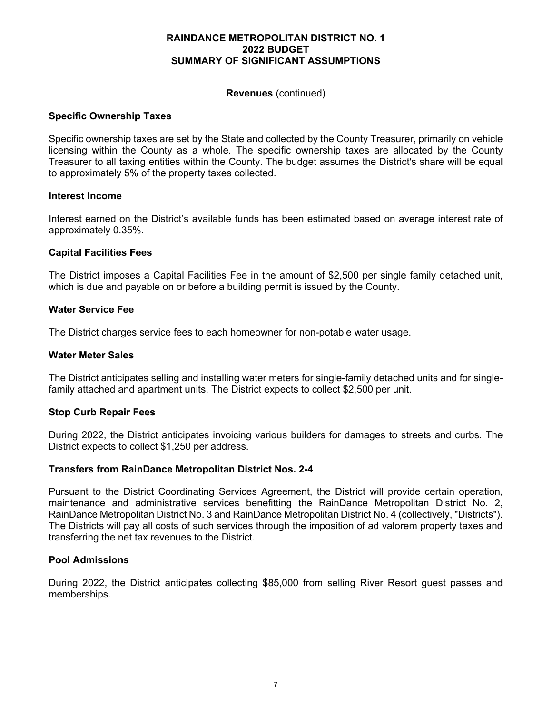#### **Revenues** (continued)

#### **Specific Ownership Taxes**

Specific ownership taxes are set by the State and collected by the County Treasurer, primarily on vehicle licensing within the County as a whole. The specific ownership taxes are allocated by the County Treasurer to all taxing entities within the County. The budget assumes the District's share will be equal to approximately 5% of the property taxes collected.

#### **Interest Income**

Interest earned on the District's available funds has been estimated based on average interest rate of approximately 0.35%.

#### **Capital Facilities Fees**

The District imposes a Capital Facilities Fee in the amount of \$2,500 per single family detached unit, which is due and payable on or before a building permit is issued by the County.

#### **Water Service Fee**

The District charges service fees to each homeowner for non-potable water usage.

#### **Water Meter Sales**

The District anticipates selling and installing water meters for single-family detached units and for singlefamily attached and apartment units. The District expects to collect \$2,500 per unit.

#### **Stop Curb Repair Fees**

During 2022, the District anticipates invoicing various builders for damages to streets and curbs. The District expects to collect \$1,250 per address.

#### **Transfers from RainDance Metropolitan District Nos. 2-4**

Pursuant to the District Coordinating Services Agreement, the District will provide certain operation, maintenance and administrative services benefitting the RainDance Metropolitan District No. 2, RainDance Metropolitan District No. 3 and RainDance Metropolitan District No. 4 (collectively, "Districts"). The Districts will pay all costs of such services through the imposition of ad valorem property taxes and transferring the net tax revenues to the District.

#### **Pool Admissions**

During 2022, the District anticipates collecting \$85,000 from selling River Resort guest passes and memberships.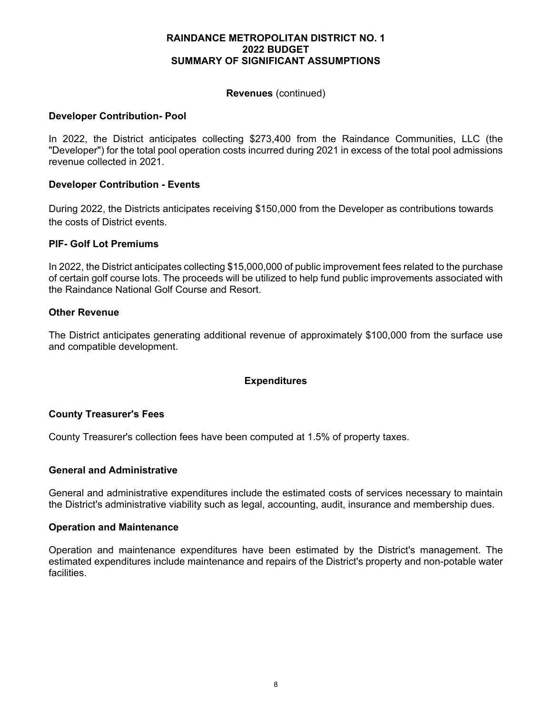#### **Revenues** (continued)

#### **Developer Contribution- Pool**

In 2022, the District anticipates collecting \$273,400 from the Raindance Communities, LLC (the "Developer") for the total pool operation costs incurred during 2021 in excess of the total pool admissions revenue collected in 2021.

#### **Developer Contribution - Events**

During 2022, the Districts anticipates receiving \$150,000 from the Developer as contributions towards the costs of District events.

#### **PIF- Golf Lot Premiums**

In 2022, the District anticipates collecting \$15,000,000 of public improvement fees related to the purchase of certain golf course lots. The proceeds will be utilized to help fund public improvements associated with the Raindance National Golf Course and Resort.

#### **Other Revenue**

The District anticipates generating additional revenue of approximately \$100,000 from the surface use and compatible development.

## **Expenditures**

#### **County Treasurer's Fees**

County Treasurer's collection fees have been computed at 1.5% of property taxes.

#### **General and Administrative**

General and administrative expenditures include the estimated costs of services necessary to maintain the District's administrative viability such as legal, accounting, audit, insurance and membership dues.

#### **Operation and Maintenance**

Operation and maintenance expenditures have been estimated by the District's management. The estimated expenditures include maintenance and repairs of the District's property and non-potable water facilities.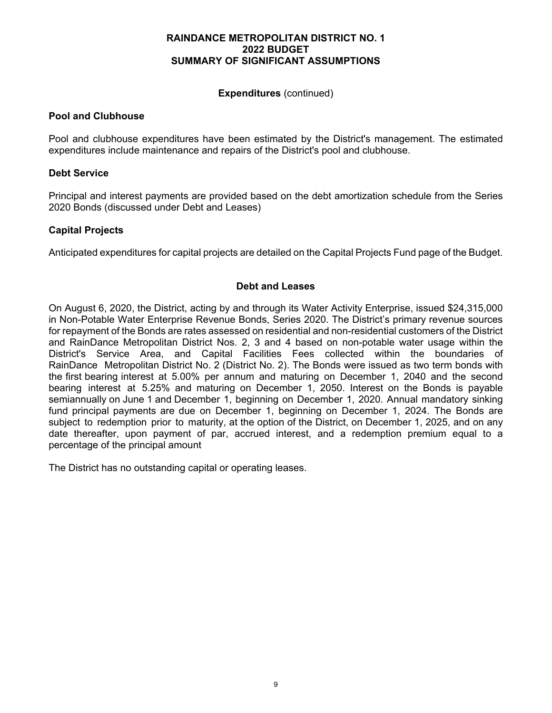#### **Expenditures** (continued)

#### **Pool and Clubhouse**

Pool and clubhouse expenditures have been estimated by the District's management. The estimated expenditures include maintenance and repairs of the District's pool and clubhouse.

#### **Debt Service**

Principal and interest payments are provided based on the debt amortization schedule from the Series 2020 Bonds (discussed under Debt and Leases)

#### **Capital Projects**

Anticipated expenditures for capital projects are detailed on the Capital Projects Fund page of the Budget.

#### **Debt and Leases**

On August 6, 2020, the District, acting by and through its Water Activity Enterprise, issued \$24,315,000 in Non-Potable Water Enterprise Revenue Bonds, Series 2020. The District's primary revenue sources for repayment of the Bonds are rates assessed on residential and non-residential customers of the District and RainDance Metropolitan District Nos. 2, 3 and 4 based on non-potable water usage within the District's Service Area, and Capital Facilities Fees collected within the boundaries of RainDance Metropolitan District No. 2 (District No. 2). The Bonds were issued as two term bonds with the first bearing interest at 5.00% per annum and maturing on December 1, 2040 and the second bearing interest at 5.25% and maturing on December 1, 2050. Interest on the Bonds is payable semiannually on June 1 and December 1, beginning on December 1, 2020. Annual mandatory sinking fund principal payments are due on December 1, beginning on December 1, 2024. The Bonds are subject to redemption prior to maturity, at the option of the District, on December 1, 2025, and on any date thereafter, upon payment of par, accrued interest, and a redemption premium equal to a percentage of the principal amount

The District has no outstanding capital or operating leases.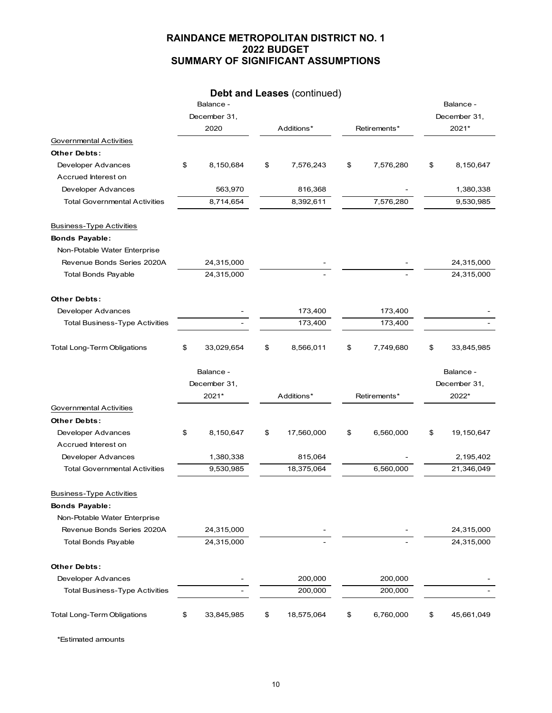# **Debt and Leases** (continued)

|                                       | Balance -        |            |            |                 |              | Balance -    |  |
|---------------------------------------|------------------|------------|------------|-----------------|--------------|--------------|--|
|                                       | December 31,     | Additions* |            |                 | December 31, |              |  |
|                                       | 2020             |            |            | Retirements*    |              | 2021*        |  |
| Governmental Activities               |                  |            |            |                 |              |              |  |
| <b>Other Debts:</b>                   |                  |            |            |                 |              |              |  |
| Developer Advances                    | \$<br>8,150,684  | \$         | 7,576,243  | \$<br>7,576,280 | \$           | 8,150,647    |  |
| Accrued Interest on                   |                  |            |            |                 |              |              |  |
| Developer Advances                    | 563,970          |            | 816,368    |                 |              | 1,380,338    |  |
| <b>Total Governmental Activities</b>  | 8,714,654        |            | 8,392,611  | 7,576,280       |              | 9,530,985    |  |
| <b>Business-Type Activities</b>       |                  |            |            |                 |              |              |  |
| <b>Bonds Payable:</b>                 |                  |            |            |                 |              |              |  |
| Non-Potable Water Enterprise          |                  |            |            |                 |              |              |  |
| Revenue Bonds Series 2020A            | 24,315,000       |            |            |                 |              | 24,315,000   |  |
| <b>Total Bonds Payable</b>            | 24,315,000       |            |            |                 |              | 24,315,000   |  |
| <b>Other Debts:</b>                   |                  |            |            |                 |              |              |  |
| Developer Advances                    |                  |            | 173,400    | 173,400         |              |              |  |
| <b>Total Business-Type Activities</b> |                  |            | 173,400    | 173,400         |              |              |  |
| <b>Total Long-Term Obligations</b>    | \$<br>33,029,654 | \$         | 8,566,011  | \$<br>7,749,680 | \$           | 33,845,985   |  |
|                                       | Balance -        |            |            |                 |              | Balance -    |  |
|                                       | December 31,     |            |            |                 |              | December 31, |  |
|                                       | 2021*            |            | Additions* | Retirements*    |              | 2022*        |  |
| Governmental Activities               |                  |            |            |                 |              |              |  |
| <b>Other Debts:</b>                   |                  |            |            |                 |              |              |  |
| Developer Advances                    | \$<br>8,150,647  | \$         | 17,560,000 | \$<br>6,560,000 | \$           | 19,150,647   |  |
| Accrued Interest on                   |                  |            |            |                 |              |              |  |
| Developer Advances                    | 1,380,338        |            | 815,064    |                 |              | 2,195,402    |  |
| <b>Total Governmental Activities</b>  | 9,530,985        |            | 18,375,064 | 6,560,000       |              | 21,346,049   |  |
| <b>Business-Type Activities</b>       |                  |            |            |                 |              |              |  |
| <b>Bonds Payable:</b>                 |                  |            |            |                 |              |              |  |
| Non-Potable Water Enterprise          |                  |            |            |                 |              |              |  |
| Revenue Bonds Series 2020A            | 24,315,000       |            |            |                 |              | 24,315,000   |  |
| <b>Total Bonds Payable</b>            | 24,315,000       |            |            |                 |              | 24,315,000   |  |
| Other Debts:                          |                  |            |            |                 |              |              |  |
| Developer Advances                    |                  |            | 200,000    | 200,000         |              |              |  |
| <b>Total Business-Type Activities</b> |                  |            | 200,000    | 200,000         |              |              |  |
| <b>Total Long-Term Obligations</b>    | \$<br>33,845,985 | \$         | 18,575,064 | \$<br>6,760,000 | \$           | 45,661,049   |  |

\*Estimated amounts